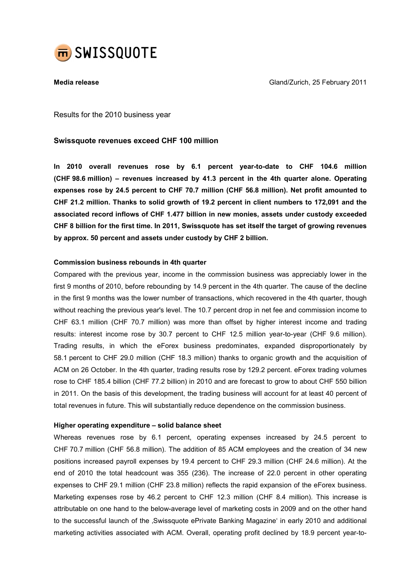

Media release Gland/Zurich, 25 February 2011

Results for the 2010 business year

## Swissquote revenues exceed CHF 100 million

In 2010 overall revenues rose by 6.1 percent year-to-date to CHF 104.6 million (CHF 98.6 million) – revenues increased by 41.3 percent in the 4th quarter alone. Operating expenses rose by 24.5 percent to CHF 70.7 million (CHF 56.8 million). Net profit amounted to CHF 21.2 million. Thanks to solid growth of 19.2 percent in client numbers to 172,091 and the associated record inflows of CHF 1.477 billion in new monies, assets under custody exceeded CHF 8 billion for the first time. In 2011, Swissquote has set itself the target of growing revenues by approx. 50 percent and assets under custody by CHF 2 billion.

## Commission business rebounds in 4th quarter

Compared with the previous year, income in the commission business was appreciably lower in the first 9 months of 2010, before rebounding by 14.9 percent in the 4th quarter. The cause of the decline in the first 9 months was the lower number of transactions, which recovered in the 4th quarter, though without reaching the previous year's level. The 10.7 percent drop in net fee and commission income to CHF 63.1 million (CHF 70.7 million) was more than offset by higher interest income and trading results: interest income rose by 30.7 percent to CHF 12.5 million year-to-year (CHF 9.6 million). Trading results, in which the eForex business predominates, expanded disproportionately by 58.1 percent to CHF 29.0 million (CHF 18.3 million) thanks to organic growth and the acquisition of ACM on 26 October. In the 4th quarter, trading results rose by 129.2 percent. eForex trading volumes rose to CHF 185.4 billion (CHF 77.2 billion) in 2010 and are forecast to grow to about CHF 550 billion in 2011. On the basis of this development, the trading business will account for at least 40 percent of total revenues in future. This will substantially reduce dependence on the commission business.

#### Higher operating expenditure – solid balance sheet

Whereas revenues rose by 6.1 percent, operating expenses increased by 24.5 percent to CHF 70.7 million (CHF 56.8 million). The addition of 85 ACM employees and the creation of 34 new positions increased payroll expenses by 19.4 percent to CHF 29.3 million (CHF 24.6 million). At the end of 2010 the total headcount was 355 (236). The increase of 22.0 percent in other operating expenses to CHF 29.1 million (CHF 23.8 million) reflects the rapid expansion of the eForex business. Marketing expenses rose by 46.2 percent to CHF 12.3 million (CHF 8.4 million). This increase is attributable on one hand to the below-average level of marketing costs in 2009 and on the other hand to the successful launch of the , Swissquote ePrivate Banking Magazine' in early 2010 and additional marketing activities associated with ACM. Overall, operating profit declined by 18.9 percent year-to-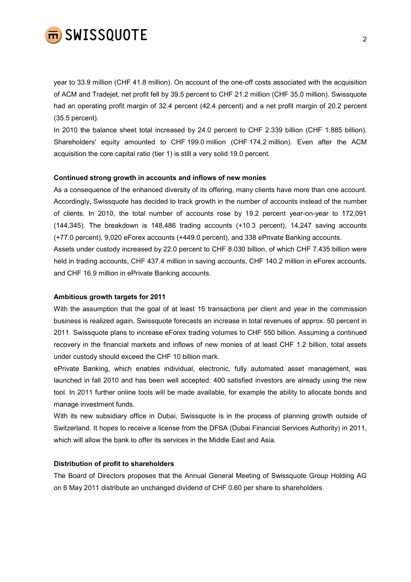

year to 33.9 million (CHF 41.8 million). On account of the one-off costs associated with the acquisition of ACM and Tradejet, net profit fell by 39.5 percent to CHF 21.2 million (CHF 35.0 million). Swissquote had an operating profit margin of 32.4 percent (42.4 percent) and a net profit margin of 20.2 percent (35.5 percent).

In 2010 the balance sheet total increased by 24.0 percent to CHF 2.339 billion (CHF 1.885 billion). Shareholders' equity amounted to CHF 199.0 million (CHF 174.2 million). Even after the ACM acquisition the core capital ratio (tier 1) is still a very solid 19.0 percent.

#### Continued strong growth in accounts and inflows of new monies

As a consequence of the enhanced diversity of its offering, many clients have more than one account. Accordingly, Swissquote has decided to track growth in the number of accounts instead of the number of clients. In 2010, the total number of accounts rose by 19.2 percent year-on-year to 172,091 (144,345). The breakdown is 148,486 trading accounts (+10.3 percent), 14,247 saving accounts (+77.0 percent), 9,020 eForex accounts (+449.0 percent), and 338 ePrivate Banking accounts.

Assets under custody increased by 22.0 percent to CHF 8.030 billion, of which CHF 7.435 billion were held in trading accounts, CHF 437.4 million in saving accounts, CHF 140.2 million in eForex accounts, and CHF 16.9 million in ePrivate Banking accounts.

#### Ambitious growth targets for 2011

With the assumption that the goal of at least 15 transactions per client and year in the commission business is realized again, Swissquote forecasts an increase in total revenues of approx. 50 percent in 2011. Swissquote plans to increase eForex trading volumes to CHF 550 billion. Assuming a continued recovery in the financial markets and inflows of new monies of at least CHF 1.2 billion, total assets under custody should exceed the CHF 10 billion mark.

ePrivate Banking, which enables individual, electronic, fully automated asset management, was launched in fall 2010 and has been well accepted: 400 satisfied investors are already using the new tool. In 2011 further online tools will be made available, for example the ability to allocate bonds and manage investment funds.

With its new subsidiary office in Dubai, Swissquote is in the process of planning growth outside of Switzerland. It hopes to receive a license from the DFSA (Dubai Financial Services Authority) in 2011, which will allow the bank to offer its services in the Middle East and Asia.

#### Distribution of profit to shareholders

The Board of Directors proposes that the Annual General Meeting of Swissquote Group Holding AG on 6 May 2011 distribute an unchanged dividend of CHF 0.60 per share to shareholders.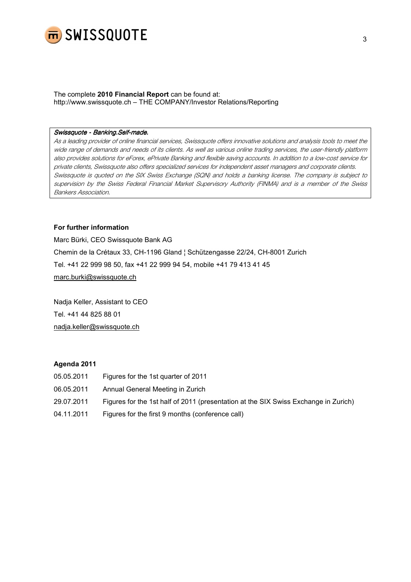

The complete 2010 Financial Report can be found at: http://www.swissquote.ch – THE COMPANY/Investor Relations/Reporting

#### Swissquote - Banking.Self-made.

As a leading provider of online financial services, Swissquote offers innovative solutions and analysis tools to meet the wide range of demands and needs of its clients. As well as various online trading services, the user-friendly platform also provides solutions for eForex, ePrivate Banking and flexible saving accounts. In addition to a low-cost service for private clients, Swissquote also offers specialized services for independent asset managers and corporate clients. Swissquote is quoted on the SIX Swiss Exchange (SQN) and holds a banking license. The company is subject to supervision by the Swiss Federal Financial Market Supervisory Authority (FINMA) and is a member of the Swiss Bankers Association.

### For further information

Marc Bürki, CEO Swissquote Bank AG Chemin de la Crétaux 33, CH-1196 Gland ¦ Schützengasse 22/24, CH-8001 Zurich Tel. +41 22 999 98 50, fax +41 22 999 94 54, mobile +41 79 413 41 45 marc.burki@swissquote.ch

Nadja Keller, Assistant to CEO Tel. +41 44 825 88 01 nadja.keller@swissquote.ch

### Agenda 2011

| 05.05.2011 | Figures for the 1st quarter of 2011                                                 |
|------------|-------------------------------------------------------------------------------------|
| 06.05.2011 | Annual General Meeting in Zurich                                                    |
| 29.07.2011 | Figures for the 1st half of 2011 (presentation at the SIX Swiss Exchange in Zurich) |
| 04.11.2011 | Figures for the first 9 months (conference call)                                    |